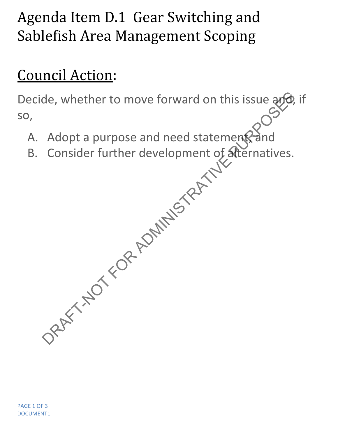## Agenda Item D.1 Gear Switching and Sablefish Area Management Scoping

## Council Action:

Decide, whether to move forward on this issue and, if so, de, whether to move forward on this issue and<br>Adopt a purpose and need statement and<br>Consider further development of atternatives.

- A. Adopt a purpose and need statement and
- B. Consider further development of alternatives.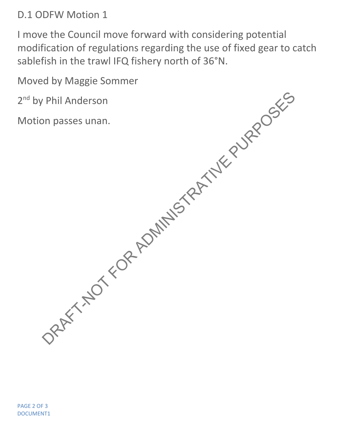D.1 ODFW Motion 1

I move the Council move forward with considering potential modification of regulations regarding the use of fixed gear to catch sablefish in the trawl IFQ fishery north of 36°N.

Moved by Maggie Sommer

2<sup>nd</sup> by Phil Anderson <sup>nd</sup> by Phil Anderson DRAFT-NOT FOR ADMINISTRATIVE PURPOSES

Motion passes unan.